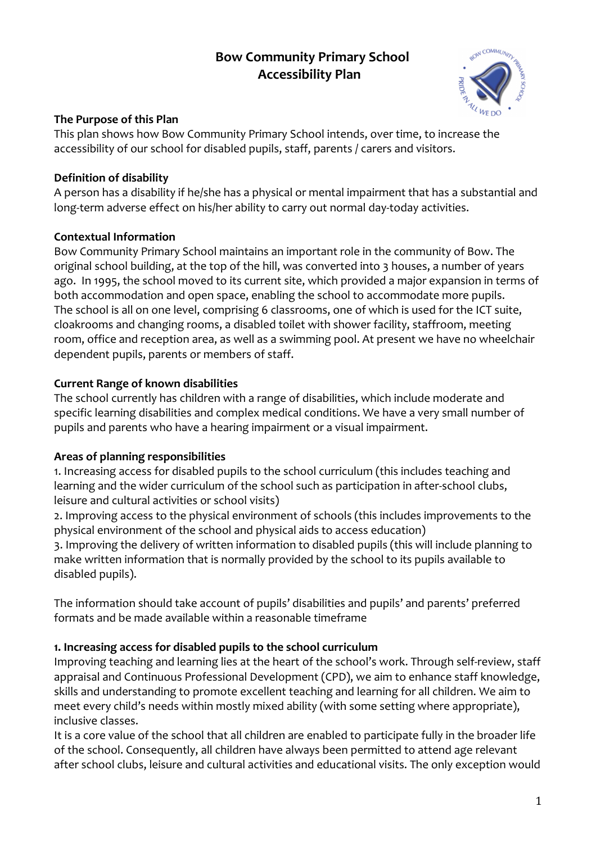# **Bow Community Primary School Accessibility Plan**



# **The Purpose of this Plan**

This plan shows how Bow Community Primary School intends, over time, to increase the accessibility of our school for disabled pupils, staff, parents / carers and visitors.

#### **Definition of disability**

A person has a disability if he/she has a physical or mental impairment that has a substantial and long-term adverse effect on his/her ability to carry out normal day-today activities.

## **Contextual Information**

Bow Community Primary School maintains an important role in the community of Bow. The original school building, at the top of the hill, was converted into 3 houses, a number of years ago. In 1995, the school moved to its current site, which provided a major expansion in terms of both accommodation and open space, enabling the school to accommodate more pupils. The school is all on one level, comprising 6 classrooms, one of which is used for the ICT suite, cloakrooms and changing rooms, a disabled toilet with shower facility, staffroom, meeting room, office and reception area, as well as a swimming pool. At present we have no wheelchair dependent pupils, parents or members of staff.

## **Current Range of known disabilities**

The school currently has children with a range of disabilities, which include moderate and specific learning disabilities and complex medical conditions. We have a very small number of pupils and parents who have a hearing impairment or a visual impairment.

## **Areas of planning responsibilities**

1. Increasing access for disabled pupils to the school curriculum (this includes teaching and learning and the wider curriculum of the school such as participation in after-school clubs, leisure and cultural activities or school visits)

2. Improving access to the physical environment of schools (this includes improvements to the physical environment of the school and physical aids to access education)

3. Improving the delivery of written information to disabled pupils (this will include planning to make written information that is normally provided by the school to its pupils available to disabled pupils).

The information should take account of pupils' disabilities and pupils' and parents' preferred formats and be made available within a reasonable timeframe

## **1. Increasing access for disabled pupils to the school curriculum**

Improving teaching and learning lies at the heart of the school's work. Through self-review, staff appraisal and Continuous Professional Development (CPD), we aim to enhance staff knowledge, skills and understanding to promote excellent teaching and learning for all children. We aim to meet every child's needs within mostly mixed ability (with some setting where appropriate), inclusive classes.

It is a core value of the school that all children are enabled to participate fully in the broader life of the school. Consequently, all children have always been permitted to attend age relevant after school clubs, leisure and cultural activities and educational visits. The only exception would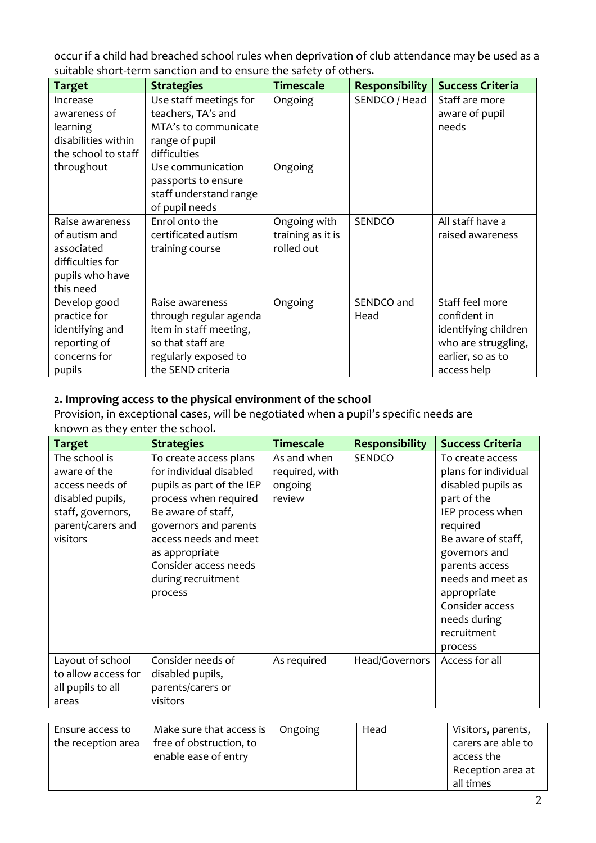occur if a child had breached school rules when deprivation of club attendance may be used as a suitable short-term sanction and to ensure the safety of others.

| <b>Target</b>                                                                                           | <b>Strategies</b>                                                                                                                                  | <b>Timescale</b>                                | <b>Responsibility</b> | <b>Success Criteria</b>                                                                                            |
|---------------------------------------------------------------------------------------------------------|----------------------------------------------------------------------------------------------------------------------------------------------------|-------------------------------------------------|-----------------------|--------------------------------------------------------------------------------------------------------------------|
| Increase<br>awareness of<br><b>learning</b><br>disabilities within<br>the school to staff<br>throughout | Use staff meetings for<br>teachers, TA's and<br>MTA's to communicate<br>range of pupil<br>difficulties<br>Use communication<br>passports to ensure | Ongoing<br>Ongoing                              | SENDCO / Head         | Staff are more<br>aware of pupil<br>needs                                                                          |
|                                                                                                         | staff understand range<br>of pupil needs                                                                                                           |                                                 |                       |                                                                                                                    |
| Raise awareness<br>of autism and<br>associated<br>difficulties for<br>pupils who have<br>this need      | Enrol onto the<br>certificated autism<br>training course                                                                                           | Ongoing with<br>training as it is<br>rolled out | SENDCO                | All staff have a<br>raised awareness                                                                               |
| Develop good<br>practice for<br>identifying and<br>reporting of<br>concerns for<br>pupils               | Raise awareness<br>through regular agenda<br>item in staff meeting,<br>so that staff are<br>regularly exposed to<br>the SEND criteria              | Ongoing                                         | SENDCO and<br>Head    | Staff feel more<br>confident in<br>identifying children<br>who are struggling,<br>earlier, so as to<br>access help |

#### **2. Improving access to the physical environment of the school**

Provision, in exceptional cases, will be negotiated when a pupil's specific needs are known as they enter the school.

| <b>Target</b>                                                                                                              | <b>Strategies</b>                                                                                                                                                                                                                                           | <b>Timescale</b>                                   | <b>Responsibility</b> | <b>Success Criteria</b>                                                                                                                                                                                                                                                 |
|----------------------------------------------------------------------------------------------------------------------------|-------------------------------------------------------------------------------------------------------------------------------------------------------------------------------------------------------------------------------------------------------------|----------------------------------------------------|-----------------------|-------------------------------------------------------------------------------------------------------------------------------------------------------------------------------------------------------------------------------------------------------------------------|
| The school is<br>aware of the<br>access needs of<br>disabled pupils,<br>staff, governors,<br>parent/carers and<br>visitors | To create access plans<br>for individual disabled<br>pupils as part of the IEP<br>process when required<br>Be aware of staff,<br>governors and parents<br>access needs and meet<br>as appropriate<br>Consider access needs<br>during recruitment<br>process | As and when<br>required, with<br>ongoing<br>review | <b>SENDCO</b>         | To create access<br>plans for individual<br>disabled pupils as<br>part of the<br>IEP process when<br>required<br>Be aware of staff,<br>governors and<br>parents access<br>needs and meet as<br>appropriate<br>Consider access<br>needs during<br>recruitment<br>process |
| Layout of school<br>to allow access for<br>all pupils to all<br>areas                                                      | Consider needs of<br>disabled pupils,<br>parents/carers or<br>visitors                                                                                                                                                                                      | As required                                        | Head/Governors        | Access for all                                                                                                                                                                                                                                                          |

| Ensure access to   | Make sure that access is | Ongoing | Head | Visitors, parents, |
|--------------------|--------------------------|---------|------|--------------------|
| the reception area | free of obstruction, to  |         |      | carers are able to |
|                    | enable ease of entry     |         |      | access the         |
|                    |                          |         |      | Reception area at  |
|                    |                          |         |      | all times          |